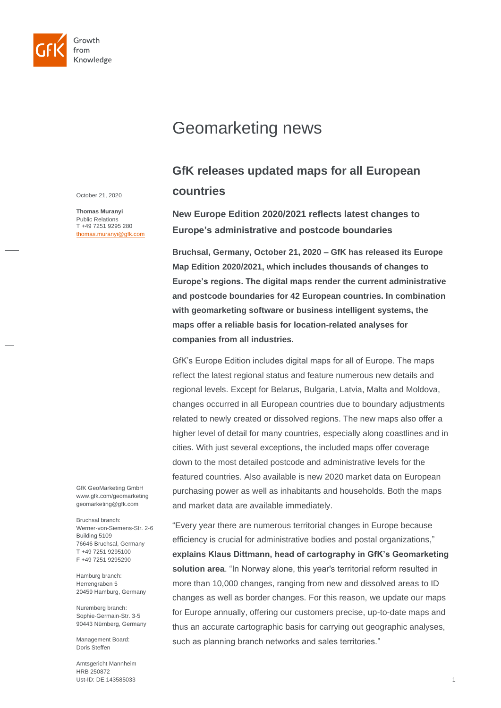

# Geomarketing news

# **GfK releases updated maps for all European countries**

October 21, 2020

**Thomas Muranyi** Public Relations T +49 7251 9295 280 [thomas.muranyi@gfk.com](mailto:thomas.muranyi@gfk.com) **New Europe Edition 2020/2021 reflects latest changes to Europe's administrative and postcode boundaries**

**Bruchsal, Germany, October 21, 2020 – GfK has released its Europe Map Edition 2020/2021, which includes thousands of changes to Europe's regions. The digital maps render the current administrative and postcode boundaries for 42 European countries. In combination with geomarketing software or business intelligent systems, the maps offer a reliable basis for location-related analyses for companies from all industries.** 

GfK's Europe Edition includes digital maps for all of Europe. The maps reflect the latest regional status and feature numerous new details and regional levels. Except for Belarus, Bulgaria, Latvia, Malta and Moldova, changes occurred in all European countries due to boundary adjustments related to newly created or dissolved regions. The new maps also offer a higher level of detail for many countries, especially along coastlines and in cities. With just several exceptions, the included maps offer coverage down to the most detailed postcode and administrative levels for the featured countries. Also available is new 2020 market data on European purchasing power as well as inhabitants and households. Both the maps and market data are available immediately.

"Every year there are numerous territorial changes in Europe because efficiency is crucial for administrative bodies and postal organizations," **explains Klaus Dittmann, head of cartography in GfK's Geomarketing solution area**. "In Norway alone, this year's territorial reform resulted in more than 10,000 changes, ranging from new and dissolved areas to ID changes as well as border changes. For this reason, we update our maps for Europe annually, offering our customers precise, up-to-date maps and thus an accurate cartographic basis for carrying out geographic analyses, such as planning branch networks and sales territories."

GfK GeoMarketing GmbH www.gfk.com/geomarketing geomarketing@gfk.com

Bruchsal branch: Werner-von-Siemens-Str. 2-6 Building 5109 76646 Bruchsal, Germany T +49 7251 9295100 F +49 7251 9295290

Hamburg branch: Herrengraben 5 20459 Hamburg, Germany

Nuremberg branch: Sophie-Germain-Str. 3-5 90443 Nürnberg, Germany

Management Board: Doris Steffen

Amtsgericht Mannheim HRB 250872 Ust-ID: DE 143585033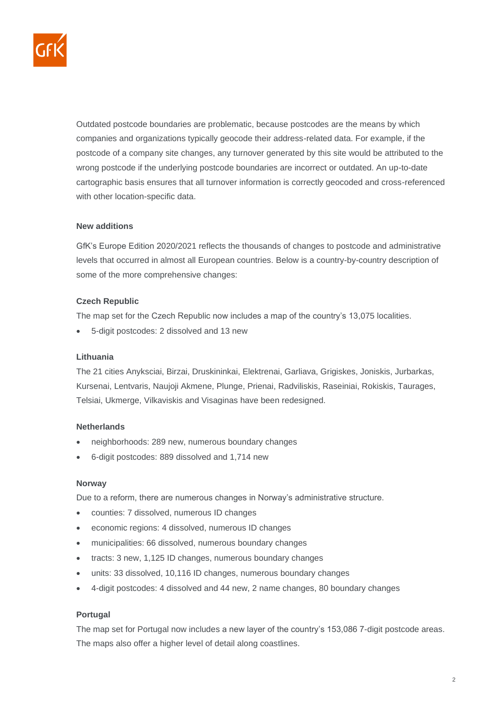

Outdated postcode boundaries are problematic, because postcodes are the means by which companies and organizations typically geocode their address-related data. For example, if the postcode of a company site changes, any turnover generated by this site would be attributed to the wrong postcode if the underlying postcode boundaries are incorrect or outdated. An up-to-date cartographic basis ensures that all turnover information is correctly geocoded and cross-referenced with other location-specific data.

# **New additions**

GfK's Europe Edition 2020/2021 reflects the thousands of changes to postcode and administrative levels that occurred in almost all European countries. Below is a country-by-country description of some of the more comprehensive changes:

# **Czech Republic**

The map set for the Czech Republic now includes a map of the country's 13,075 localities.

• 5-digit postcodes: 2 dissolved and 13 new

#### **Lithuania**

The 21 cities Anyksciai, Birzai, Druskininkai, Elektrenai, Garliava, Grigiskes, Joniskis, Jurbarkas, Kursenai, Lentvaris, Naujoji Akmene, Plunge, Prienai, Radviliskis, Raseiniai, Rokiskis, Taurages, Telsiai, Ukmerge, Vilkaviskis and Visaginas have been redesigned.

# **Netherlands**

- neighborhoods: 289 new, numerous boundary changes
- 6-digit postcodes: 889 dissolved and 1,714 new

#### **Norway**

Due to a reform, there are numerous changes in Norway's administrative structure.

- counties: 7 dissolved, numerous ID changes
- economic regions: 4 dissolved, numerous ID changes
- municipalities: 66 dissolved, numerous boundary changes
- tracts: 3 new, 1,125 ID changes, numerous boundary changes
- units: 33 dissolved, 10,116 ID changes, numerous boundary changes
- 4-digit postcodes: 4 dissolved and 44 new, 2 name changes, 80 boundary changes

# **Portugal**

The map set for Portugal now includes a new layer of the country's 153,086 7-digit postcode areas. The maps also offer a higher level of detail along coastlines.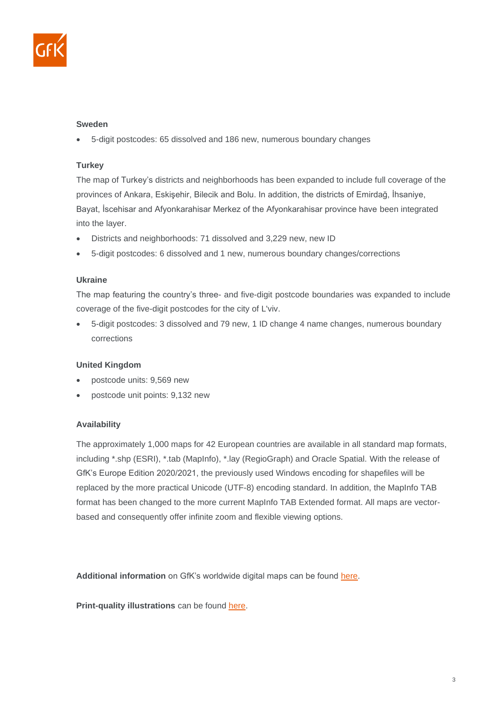

# **Sweden**

• 5-digit postcodes: 65 dissolved and 186 new, numerous boundary changes

# **Turkey**

The map of Turkey's districts and neighborhoods has been expanded to include full coverage of the provinces of Ankara, Eskişehir, Bilecik and Bolu. In addition, the districts of Emirdağ, İhsaniye, Bayat, İscehisar and Afyonkarahisar Merkez of the Afyonkarahisar province have been integrated into the layer.

- Districts and neighborhoods: 71 dissolved and 3,229 new, new ID
- 5-digit postcodes: 6 dissolved and 1 new, numerous boundary changes/corrections

#### **Ukraine**

The map featuring the country's three- and five-digit postcode boundaries was expanded to include coverage of the five-digit postcodes for the city of L'viv.

• 5-digit postcodes: 3 dissolved and 79 new, 1 ID change 4 name changes, numerous boundary corrections

# **United Kingdom**

- postcode units: 9,569 new
- postcode unit points: 9,132 new

# **Availability**

The approximately 1,000 maps for 42 European countries are available in all standard map formats, including \*.shp (ESRI), \*.tab (MapInfo), \*.lay (RegioGraph) and Oracle Spatial. With the release of GfK's Europe Edition 2020/2021, the previously used Windows encoding for shapefiles will be replaced by the more practical Unicode (UTF-8) encoding standard. In addition, the MapInfo TAB format has been changed to the more current MapInfo TAB Extended format. All maps are vectorbased and consequently offer infinite zoom and flexible viewing options.

**Additional information** on GfK's worldwide digital maps can be found [here.](http://geodata.gfk.com/) 

**Print-quality illustrations** can be found [here.](http://www.gfk-geomarketing.com/fileadmin/gfkgeomarketing/en/press/maps-europe-2020.zip)